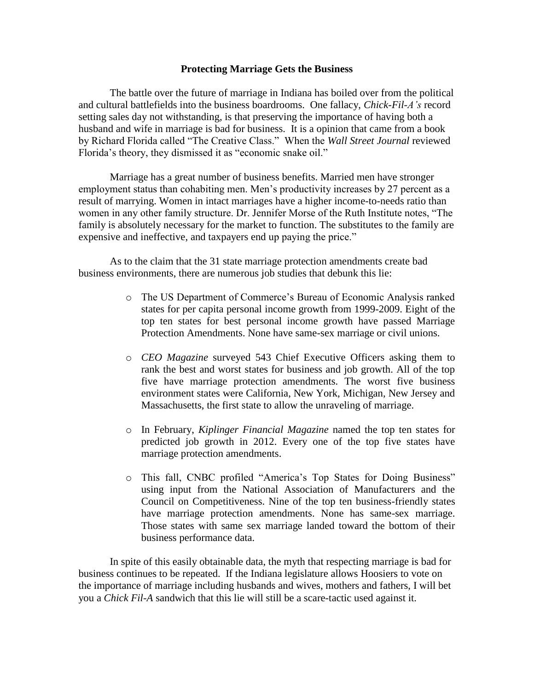## **Protecting Marriage Gets the Business**

The battle over the future of marriage in Indiana has boiled over from the political and cultural battlefields into the business boardrooms. One fallacy, *Chick-Fil-A's* record setting sales day not withstanding, is that preserving the importance of having both a husband and wife in marriage is bad for business. It is a opinion that came from a book by Richard Florida called "The Creative Class." When the *Wall Street Journal* reviewed Florida's theory, they dismissed it as "economic snake oil."

Marriage has a great number of business benefits. Married men have stronger employment status than cohabiting men. Men's productivity increases by 27 percent as a result of marrying. Women in intact marriages have a higher income-to-needs ratio than women in any other family structure. Dr. Jennifer Morse of the Ruth Institute notes, "The family is absolutely necessary for the market to function. The substitutes to the family are expensive and ineffective, and taxpayers end up paying the price."

As to the claim that the 31 state marriage protection amendments create bad business environments, there are numerous job studies that debunk this lie:

- o The US Department of Commerce's Bureau of Economic Analysis ranked states for per capita personal income growth from 1999-2009. Eight of the top ten states for best personal income growth have passed Marriage Protection Amendments. None have same-sex marriage or civil unions.
- o *CEO Magazine* surveyed 543 Chief Executive Officers asking them to rank the best and worst states for business and job growth. All of the top five have marriage protection amendments. The worst five business environment states were California, New York, Michigan, New Jersey and Massachusetts, the first state to allow the unraveling of marriage.
- o In February, *Kiplinger Financial Magazine* named the top ten states for predicted job growth in 2012. Every one of the top five states have marriage protection amendments.
- o This fall, CNBC profiled "America's Top States for Doing Business" using input from the National Association of Manufacturers and the Council on Competitiveness. Nine of the top ten business-friendly states have marriage protection amendments. None has same-sex marriage. Those states with same sex marriage landed toward the bottom of their business performance data.

In spite of this easily obtainable data, the myth that respecting marriage is bad for business continues to be repeated. If the Indiana legislature allows Hoosiers to vote on the importance of marriage including husbands and wives, mothers and fathers, I will bet you a *Chick Fil-A* sandwich that this lie will still be a scare-tactic used against it.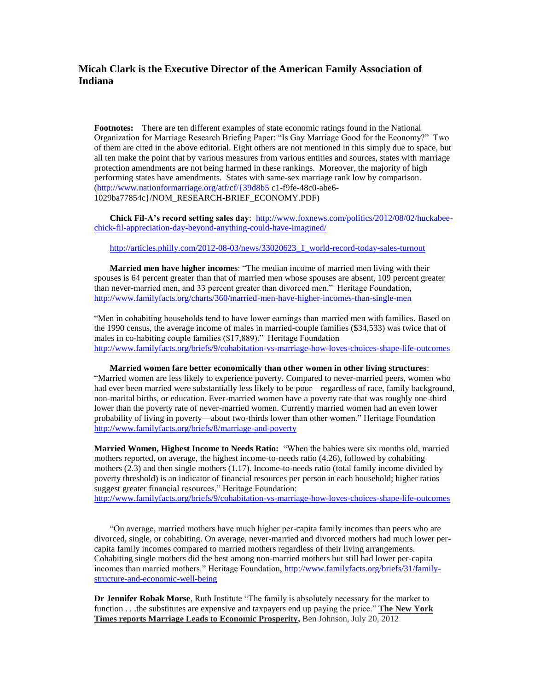## **Micah Clark is the Executive Director of the American Family Association of Indiana**

**Footnotes:** There are ten different examples of state economic ratings found in the National Organization for Marriage Research Briefing Paper: "Is Gay Marriage Good for the Economy?" Two of them are cited in the above editorial. Eight others are not mentioned in this simply due to space, but all ten make the point that by various measures from various entities and sources, states with marriage protection amendments are not being harmed in these rankings. Moreover, the majority of high performing states have amendments. States with same-sex marriage rank low by comparison. [\(http://www.nationformarriage.org/atf/cf/{39d8b5](http://www.nationformarriage.org/atf/cf/%7B39d8b5) c1-f9fe-48c0-abe6- 1029ba77854c}/NOM\_RESEARCH-BRIEF\_ECONOMY.PDF)

Chick Fil-A's record setting sales day: [http://www.foxnews.com/politics/2012/08/02/huckabee](http://www.foxnews.com/politics/2012/08/02/huckabee-chick-fil-appreciation-day-beyond-anything-could-have-imagined/)[chick-fil-appreciation-day-beyond-anything-could-have-imagined/](http://www.foxnews.com/politics/2012/08/02/huckabee-chick-fil-appreciation-day-beyond-anything-could-have-imagined/)

[http://articles.philly.com/2012-08-03/news/33020623\\_1\\_world-record-today-sales-turnout](http://articles.philly.com/2012-08-03/news/33020623_1_world-record-today-sales-turnout)

**Married men have higher incomes**: "The median income of married men living with their spouses is 64 percent greater than that of married men whose spouses are absent, 109 percent greater than never-married men, and 33 percent greater than divorced men." Heritage Foundation, <http://www.familyfacts.org/charts/360/married-men-have-higher-incomes-than-single-men>

"Men in cohabiting households tend to have lower earnings than married men with families. Based on the 1990 census, the average income of males in married-couple families (\$34,533) was twice that of males in co-habiting couple families (\$17,889)." Heritage Foundation <http://www.familyfacts.org/briefs/9/cohabitation-vs-marriage-how-loves-choices-shape-life-outcomes>

**Married women fare better economically than other women in other living structures**: "Married women are less likely to experience poverty. Compared to never-married peers, women who had ever been married were substantially less likely to be poor—regardless of race, family background, non-marital births, or education. Ever-married women have a poverty rate that was roughly one-third lower than the poverty rate of never-married women. Currently married women had an even lower probability of living in poverty—about two-thirds lower than other women." Heritage Foundation <http://www.familyfacts.org/briefs/8/marriage-and-poverty>

**Married Women, Highest Income to Needs Ratio:** "When the babies were six months old, married mothers reported, on average, the highest income-to-needs ratio (4.26), followed by cohabiting mothers (2.3) and then single mothers (1.17). Income-to-needs ratio (total family income divided by poverty threshold) is an indicator of financial resources per person in each household; higher ratios suggest greater financial resources." Heritage Foundation:

<http://www.familyfacts.org/briefs/9/cohabitation-vs-marriage-how-loves-choices-shape-life-outcomes>

"On average, married mothers have much higher per-capita family incomes than peers who are divorced, single, or cohabiting. On average, never-married and divorced mothers had much lower percapita family incomes compared to married mothers regardless of their living arrangements. Cohabiting single mothers did the best among non-married mothers but still had lower per-capita incomes than married mothers." Heritage Foundation, [http://www.familyfacts.org/briefs/31/family](http://www.familyfacts.org/briefs/31/family-structure-and-economic-well-being)[structure-and-economic-well-being](http://www.familyfacts.org/briefs/31/family-structure-and-economic-well-being)

**Dr Jennifer Robak Morse**, Ruth Institute "The family is absolutely necessary for the market to function . . .the substitutes are expensive and taxpayers end up paying the price." **The New York Times reports Marriage Leads to Economic Prosperity,** Ben Johnson, July 20, 2012